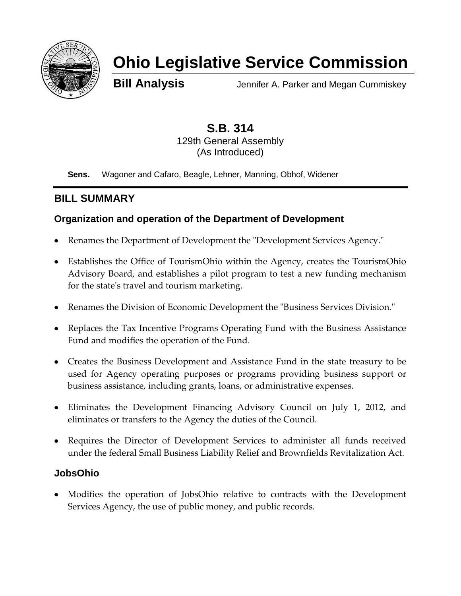

# **Ohio Legislative Service Commission**

**Bill Analysis** Jennifer A. Parker and Megan Cummiskey

**S.B. 314** 129th General Assembly (As Introduced)

**Sens.** Wagoner and Cafaro, Beagle, Lehner, Manning, Obhof, Widener

# **BILL SUMMARY**

## **Organization and operation of the Department of Development**

- Renames the Department of Development the "Development Services Agency."
- Establishes the Office of TourismOhio within the Agency, creates the TourismOhio Advisory Board, and establishes a pilot program to test a new funding mechanism for the state's travel and tourism marketing.
- Renames the Division of Economic Development the "Business Services Division."
- Replaces the Tax Incentive Programs Operating Fund with the Business Assistance Fund and modifies the operation of the Fund.
- Creates the Business Development and Assistance Fund in the state treasury to be used for Agency operating purposes or programs providing business support or business assistance, including grants, loans, or administrative expenses.
- Eliminates the Development Financing Advisory Council on July 1, 2012, and eliminates or transfers to the Agency the duties of the Council.
- Requires the Director of Development Services to administer all funds received under the federal Small Business Liability Relief and Brownfields Revitalization Act.

## **JobsOhio**

Modifies the operation of JobsOhio relative to contracts with the Development Services Agency, the use of public money, and public records.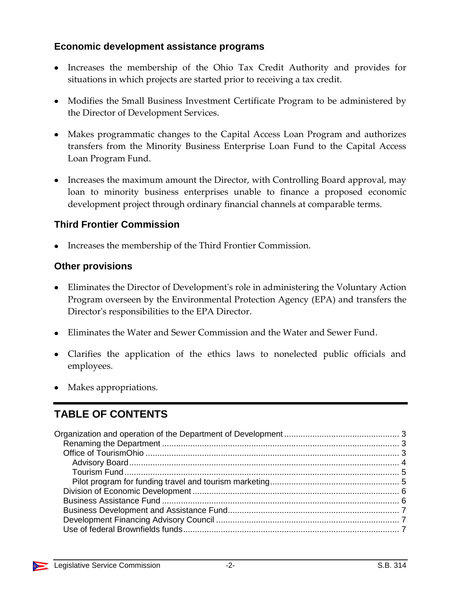## **Economic development assistance programs**

- Increases the membership of the Ohio Tax Credit Authority and provides for situations in which projects are started prior to receiving a tax credit.
- Modifies the Small Business Investment Certificate Program to be administered by the Director of Development Services.
- Makes programmatic changes to the Capital Access Loan Program and authorizes transfers from the Minority Business Enterprise Loan Fund to the Capital Access Loan Program Fund.
- Increases the maximum amount the Director, with Controlling Board approval, may loan to minority business enterprises unable to finance a proposed economic development project through ordinary financial channels at comparable terms.

## **Third Frontier Commission**

• Increases the membership of the Third Frontier Commission.

## **Other provisions**

- Eliminates the Director of Development's role in administering the Voluntary Action Program overseen by the Environmental Protection Agency (EPA) and transfers the Director's responsibilities to the EPA Director.
- Eliminates the Water and Sewer Commission and the Water and Sewer Fund.
- Clarifies the application of the ethics laws to nonelected public officials and employees.
- Makes appropriations.

# **TABLE OF CONTENTS**

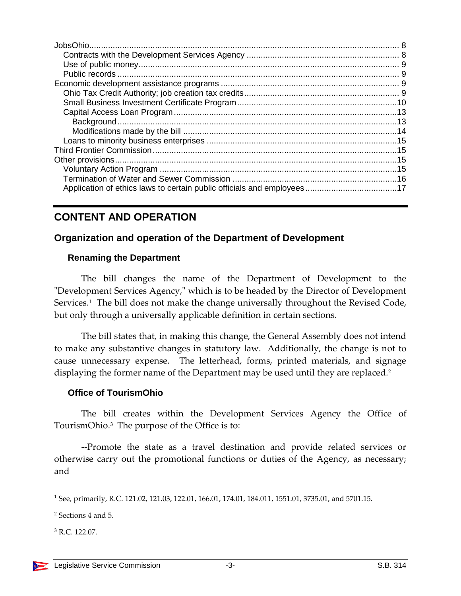# **CONTENT AND OPERATION**

## <span id="page-2-0"></span>**Organization and operation of the Department of Development**

## <span id="page-2-1"></span>**Renaming the Department**

The bill changes the name of the Department of Development to the "Development Services Agency," which is to be headed by the Director of Development Services.<sup>1</sup> The bill does not make the change universally throughout the Revised Code, but only through a universally applicable definition in certain sections.

The bill states that, in making this change, the General Assembly does not intend to make any substantive changes in statutory law. Additionally, the change is not to cause unnecessary expense. The letterhead, forms, printed materials, and signage displaying the former name of the Department may be used until they are replaced.<sup>2</sup>

## <span id="page-2-2"></span>**Office of TourismOhio**

The bill creates within the Development Services Agency the Office of TourismOhio.<sup>3</sup> The purpose of the Office is to:

--Promote the state as a travel destination and provide related services or otherwise carry out the promotional functions or duties of the Agency, as necessary; and

<sup>1</sup> See, primarily, R.C. 121.02, 121.03, 122.01, 166.01, 174.01, 184.011, 1551.01, 3735.01, and 5701.15.

<sup>2</sup> Sections 4 and 5.

 $3 R C$  122.07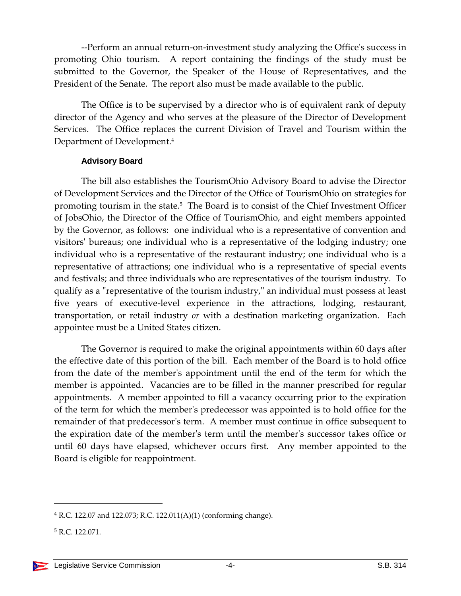--Perform an annual return-on-investment study analyzing the Office's success in promoting Ohio tourism. A report containing the findings of the study must be submitted to the Governor, the Speaker of the House of Representatives, and the President of the Senate. The report also must be made available to the public.

The Office is to be supervised by a director who is of equivalent rank of deputy director of the Agency and who serves at the pleasure of the Director of Development Services. The Office replaces the current Division of Travel and Tourism within the Department of Development.<sup>4</sup>

#### **Advisory Board**

<span id="page-3-0"></span>The bill also establishes the TourismOhio Advisory Board to advise the Director of Development Services and the Director of the Office of TourismOhio on strategies for promoting tourism in the state.<sup>5</sup> The Board is to consist of the Chief Investment Officer of JobsOhio, the Director of the Office of TourismOhio, and eight members appointed by the Governor, as follows: one individual who is a representative of convention and visitors' bureaus; one individual who is a representative of the lodging industry; one individual who is a representative of the restaurant industry; one individual who is a representative of attractions; one individual who is a representative of special events and festivals; and three individuals who are representatives of the tourism industry. To qualify as a "representative of the tourism industry," an individual must possess at least five years of executive-level experience in the attractions, lodging, restaurant, transportation, or retail industry *or* with a destination marketing organization. Each appointee must be a United States citizen.

The Governor is required to make the original appointments within 60 days after the effective date of this portion of the bill. Each member of the Board is to hold office from the date of the member's appointment until the end of the term for which the member is appointed. Vacancies are to be filled in the manner prescribed for regular appointments. A member appointed to fill a vacancy occurring prior to the expiration of the term for which the member's predecessor was appointed is to hold office for the remainder of that predecessor's term. A member must continue in office subsequent to the expiration date of the member's term until the member's successor takes office or until 60 days have elapsed, whichever occurs first. Any member appointed to the Board is eligible for reappointment.

 $4$  R.C. 122.07 and 122.073; R.C. 122.011(A)(1) (conforming change).

<sup>5</sup> R.C. 122.071.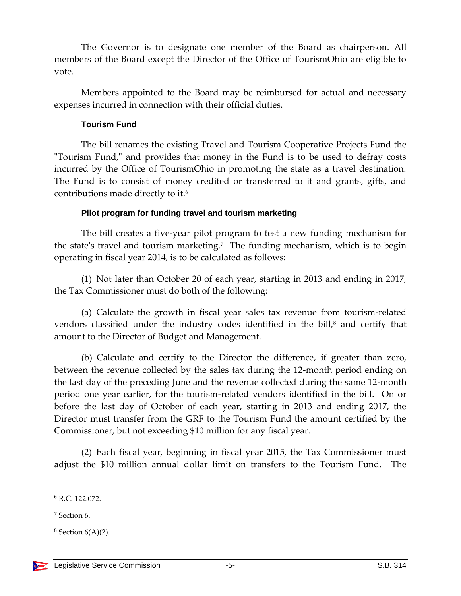The Governor is to designate one member of the Board as chairperson. All members of the Board except the Director of the Office of TourismOhio are eligible to vote.

Members appointed to the Board may be reimbursed for actual and necessary expenses incurred in connection with their official duties.

#### **Tourism Fund**

<span id="page-4-0"></span>The bill renames the existing Travel and Tourism Cooperative Projects Fund the "Tourism Fund," and provides that money in the Fund is to be used to defray costs incurred by the Office of TourismOhio in promoting the state as a travel destination. The Fund is to consist of money credited or transferred to it and grants, gifts, and contributions made directly to it.<sup>6</sup>

## **Pilot program for funding travel and tourism marketing**

<span id="page-4-1"></span>The bill creates a five-year pilot program to test a new funding mechanism for the state's travel and tourism marketing.<sup>7</sup> The funding mechanism, which is to begin operating in fiscal year 2014, is to be calculated as follows:

(1) Not later than October 20 of each year, starting in 2013 and ending in 2017, the Tax Commissioner must do both of the following:

(a) Calculate the growth in fiscal year sales tax revenue from tourism-related vendors classified under the industry codes identified in the bill,<sup>8</sup> and certify that amount to the Director of Budget and Management.

(b) Calculate and certify to the Director the difference, if greater than zero, between the revenue collected by the sales tax during the 12-month period ending on the last day of the preceding June and the revenue collected during the same 12-month period one year earlier, for the tourism-related vendors identified in the bill. On or before the last day of October of each year, starting in 2013 and ending 2017, the Director must transfer from the GRF to the Tourism Fund the amount certified by the Commissioner, but not exceeding \$10 million for any fiscal year.

(2) Each fiscal year, beginning in fiscal year 2015, the Tax Commissioner must adjust the \$10 million annual dollar limit on transfers to the Tourism Fund. The

<sup>6</sup> R.C. 122.072.

<sup>7</sup> Section 6.

 $8$  Section  $6(A)(2)$ .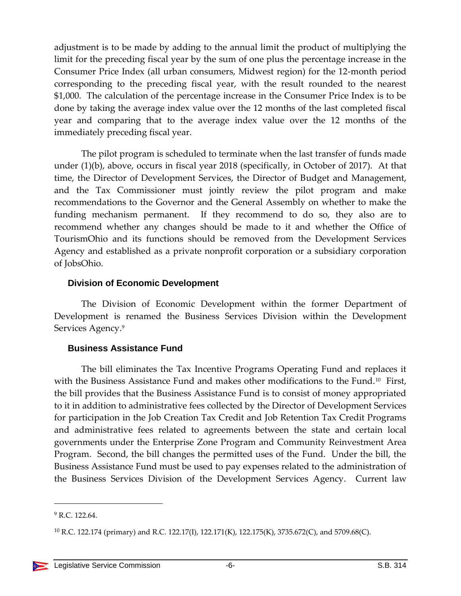adjustment is to be made by adding to the annual limit the product of multiplying the limit for the preceding fiscal year by the sum of one plus the percentage increase in the Consumer Price Index (all urban consumers, Midwest region) for the 12-month period corresponding to the preceding fiscal year, with the result rounded to the nearest \$1,000. The calculation of the percentage increase in the Consumer Price Index is to be done by taking the average index value over the 12 months of the last completed fiscal year and comparing that to the average index value over the 12 months of the immediately preceding fiscal year.

The pilot program is scheduled to terminate when the last transfer of funds made under (1)(b), above, occurs in fiscal year 2018 (specifically, in October of 2017). At that time, the Director of Development Services, the Director of Budget and Management, and the Tax Commissioner must jointly review the pilot program and make recommendations to the Governor and the General Assembly on whether to make the funding mechanism permanent. If they recommend to do so, they also are to recommend whether any changes should be made to it and whether the Office of TourismOhio and its functions should be removed from the Development Services Agency and established as a private nonprofit corporation or a subsidiary corporation of JobsOhio.

#### <span id="page-5-0"></span>**Division of Economic Development**

The Division of Economic Development within the former Department of Development is renamed the Business Services Division within the Development Services Agency. 9

## <span id="page-5-1"></span>**Business Assistance Fund**

The bill eliminates the Tax Incentive Programs Operating Fund and replaces it with the Business Assistance Fund and makes other modifications to the Fund.<sup>10</sup> First, the bill provides that the Business Assistance Fund is to consist of money appropriated to it in addition to administrative fees collected by the Director of Development Services for participation in the Job Creation Tax Credit and Job Retention Tax Credit Programs and administrative fees related to agreements between the state and certain local governments under the Enterprise Zone Program and Community Reinvestment Area Program. Second, the bill changes the permitted uses of the Fund. Under the bill, the Business Assistance Fund must be used to pay expenses related to the administration of the Business Services Division of the Development Services Agency. Current law

 $9$  R.C. 122.64.

<sup>&</sup>lt;sup>10</sup> R.C. 122.174 (primary) and R.C. 122.17(I), 122.171(K), 122.175(K), 3735.672(C), and 5709.68(C).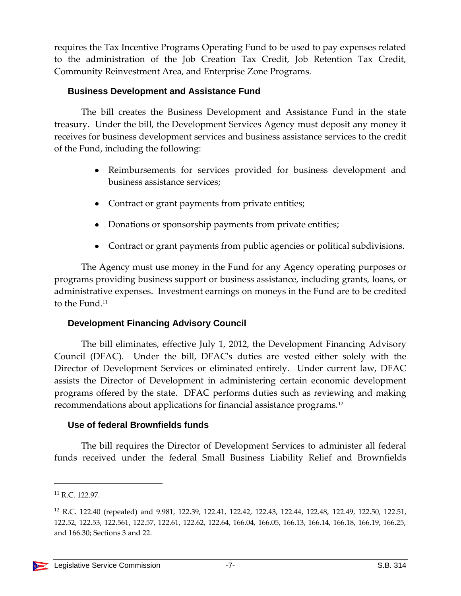requires the Tax Incentive Programs Operating Fund to be used to pay expenses related to the administration of the Job Creation Tax Credit, Job Retention Tax Credit, Community Reinvestment Area, and Enterprise Zone Programs.

## <span id="page-6-0"></span>**Business Development and Assistance Fund**

The bill creates the Business Development and Assistance Fund in the state treasury. Under the bill, the Development Services Agency must deposit any money it receives for business development services and business assistance services to the credit of the Fund, including the following:

- Reimbursements for services provided for business development and business assistance services;
- Contract or grant payments from private entities;
- Donations or sponsorship payments from private entities;
- Contract or grant payments from public agencies or political subdivisions.

The Agency must use money in the Fund for any Agency operating purposes or programs providing business support or business assistance, including grants, loans, or administrative expenses. Investment earnings on moneys in the Fund are to be credited to the Fund.<sup>11</sup>

## <span id="page-6-1"></span>**Development Financing Advisory Council**

The bill eliminates, effective July 1, 2012, the Development Financing Advisory Council (DFAC). Under the bill, DFAC's duties are vested either solely with the Director of Development Services or eliminated entirely. Under current law, DFAC assists the Director of Development in administering certain economic development programs offered by the state. DFAC performs duties such as reviewing and making recommendations about applications for financial assistance programs.<sup>12</sup>

## <span id="page-6-2"></span>**Use of federal Brownfields funds**

The bill requires the Director of Development Services to administer all federal funds received under the federal Small Business Liability Relief and Brownfields

<sup>11</sup> R.C. 122.97.

<sup>12</sup> R.C. 122.40 (repealed) and 9.981, 122.39, 122.41, 122.42, 122.43, 122.44, 122.48, 122.49, 122.50, 122.51, 122.52, 122.53, 122.561, 122.57, 122.61, 122.62, 122.64, 166.04, 166.05, 166.13, 166.14, 166.18, 166.19, 166.25, and 166.30; Sections 3 and 22.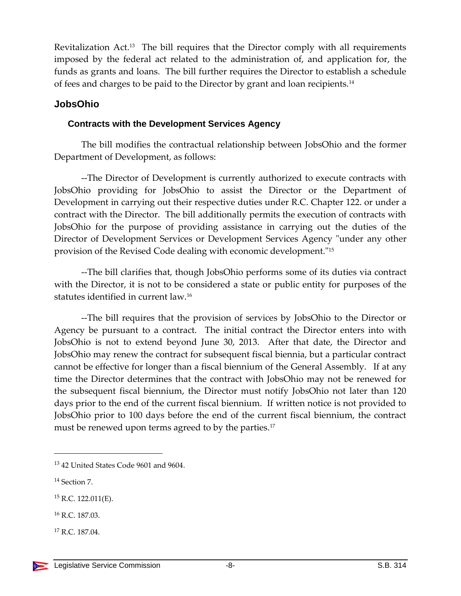Revitalization Act.<sup>13</sup> The bill requires that the Director comply with all requirements imposed by the federal act related to the administration of, and application for, the funds as grants and loans. The bill further requires the Director to establish a schedule of fees and charges to be paid to the Director by grant and loan recipients.<sup>14</sup>

## <span id="page-7-0"></span>**JobsOhio**

## <span id="page-7-1"></span>**Contracts with the Development Services Agency**

The bill modifies the contractual relationship between JobsOhio and the former Department of Development, as follows:

--The Director of Development is currently authorized to execute contracts with JobsOhio providing for JobsOhio to assist the Director or the Department of Development in carrying out their respective duties under R.C. Chapter 122. or under a contract with the Director. The bill additionally permits the execution of contracts with JobsOhio for the purpose of providing assistance in carrying out the duties of the Director of Development Services or Development Services Agency "under any other provision of the Revised Code dealing with economic development."<sup>15</sup>

--The bill clarifies that, though JobsOhio performs some of its duties via contract with the Director, it is not to be considered a state or public entity for purposes of the statutes identified in current law.<sup>16</sup>

--The bill requires that the provision of services by JobsOhio to the Director or Agency be pursuant to a contract. The initial contract the Director enters into with JobsOhio is not to extend beyond June 30, 2013. After that date, the Director and JobsOhio may renew the contract for subsequent fiscal biennia, but a particular contract cannot be effective for longer than a fiscal biennium of the General Assembly. If at any time the Director determines that the contract with JobsOhio may not be renewed for the subsequent fiscal biennium, the Director must notify JobsOhio not later than 120 days prior to the end of the current fiscal biennium. If written notice is not provided to JobsOhio prior to 100 days before the end of the current fiscal biennium, the contract must be renewed upon terms agreed to by the parties.<sup>17</sup>

<sup>13</sup> 42 United States Code 9601 and 9604.

<sup>14</sup> Section 7.

 $15$  R.C. 122.011(E).

<sup>16</sup> R.C. 187.03.

<sup>17</sup> R.C. 187.04.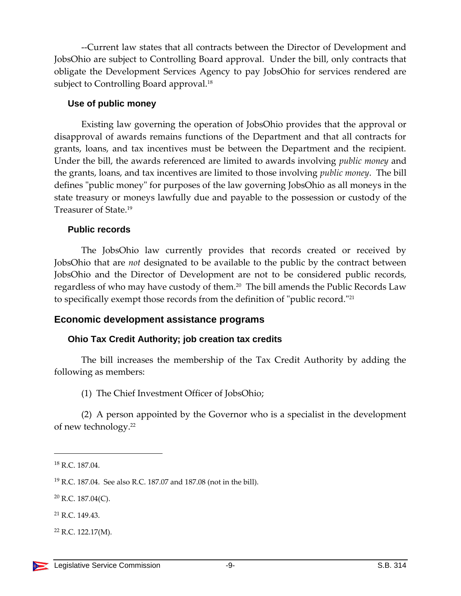--Current law states that all contracts between the Director of Development and JobsOhio are subject to Controlling Board approval. Under the bill, only contracts that obligate the Development Services Agency to pay JobsOhio for services rendered are subject to Controlling Board approval.<sup>18</sup>

## <span id="page-8-0"></span>**Use of public money**

Existing law governing the operation of JobsOhio provides that the approval or disapproval of awards remains functions of the Department and that all contracts for grants, loans, and tax incentives must be between the Department and the recipient. Under the bill, the awards referenced are limited to awards involving *public money* and the grants, loans, and tax incentives are limited to those involving *public money*. The bill defines "public money" for purposes of the law governing JobsOhio as all moneys in the state treasury or moneys lawfully due and payable to the possession or custody of the Treasurer of State.<sup>19</sup>

## <span id="page-8-1"></span>**Public records**

The JobsOhio law currently provides that records created or received by JobsOhio that are *not* designated to be available to the public by the contract between JobsOhio and the Director of Development are not to be considered public records, regardless of who may have custody of them.<sup>20</sup> The bill amends the Public Records Law to specifically exempt those records from the definition of "public record."<sup>21</sup>

## <span id="page-8-2"></span>**Economic development assistance programs**

## <span id="page-8-3"></span>**Ohio Tax Credit Authority; job creation tax credits**

The bill increases the membership of the Tax Credit Authority by adding the following as members:

(1) The Chief Investment Officer of JobsOhio;

(2) A person appointed by the Governor who is a specialist in the development of new technology.<sup>22</sup>

<sup>18</sup> R.C. 187.04.

<sup>19</sup> R.C. 187.04. See also R.C. 187.07 and 187.08 (not in the bill).

 $20$  R.C. 187.04(C).

<sup>21</sup> R.C. 149.43.

 $22$  R.C. 122.17(M).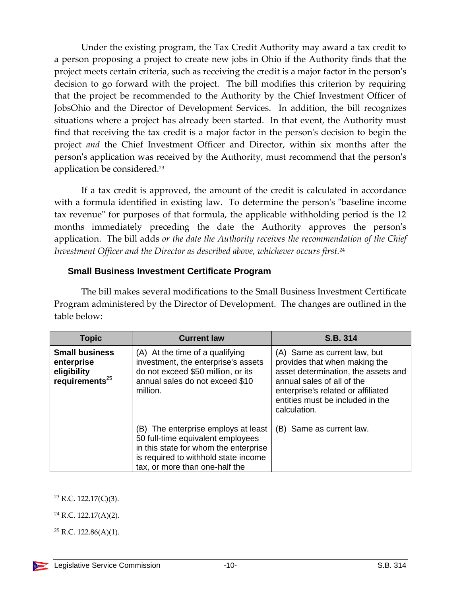Under the existing program, the Tax Credit Authority may award a tax credit to a person proposing a project to create new jobs in Ohio if the Authority finds that the project meets certain criteria, such as receiving the credit is a major factor in the person's decision to go forward with the project. The bill modifies this criterion by requiring that the project be recommended to the Authority by the Chief Investment Officer of JobsOhio and the Director of Development Services. In addition, the bill recognizes situations where a project has already been started. In that event, the Authority must find that receiving the tax credit is a major factor in the person's decision to begin the project *and* the Chief Investment Officer and Director, within six months after the person's application was received by the Authority, must recommend that the person's application be considered.<sup>23</sup>

If a tax credit is approved, the amount of the credit is calculated in accordance with a formula identified in existing law. To determine the person's "baseline income tax revenue" for purposes of that formula, the applicable withholding period is the 12 months immediately preceding the date the Authority approves the person's application. The bill adds *or the date the Authority receives the recommendation of the Chief Investment Officer and the Director as described above, whichever occurs first.*<sup>24</sup>

## <span id="page-9-0"></span>**Small Business Investment Certificate Program**

The bill makes several modifications to the Small Business Investment Certificate Program administered by the Director of Development. The changes are outlined in the table below:

| <b>Topic</b>                                                               | <b>Current law</b>                                                                                                                                                                          | S.B. 314                                                                                                                                                                                                                     |
|----------------------------------------------------------------------------|---------------------------------------------------------------------------------------------------------------------------------------------------------------------------------------------|------------------------------------------------------------------------------------------------------------------------------------------------------------------------------------------------------------------------------|
| <b>Small business</b><br>enterprise<br>eligibility<br>requirements $^{25}$ | (A) At the time of a qualifying<br>investment, the enterprise's assets<br>do not exceed \$50 million, or its<br>annual sales do not exceed \$10<br>million.                                 | (A) Same as current law, but<br>provides that when making the<br>asset determination, the assets and<br>annual sales of all of the<br>enterprise's related or affiliated<br>entities must be included in the<br>calculation. |
|                                                                            | (B) The enterprise employs at least<br>50 full-time equivalent employees<br>in this state for whom the enterprise<br>is required to withhold state income<br>tax, or more than one-half the | (B) Same as current law.                                                                                                                                                                                                     |

<sup>23</sup> R.C. 122.17(C)(3).

 $\overline{a}$ 

<sup>24</sup> R.C. 122.17(A)(2).

 $25$  R.C. 122.86(A)(1).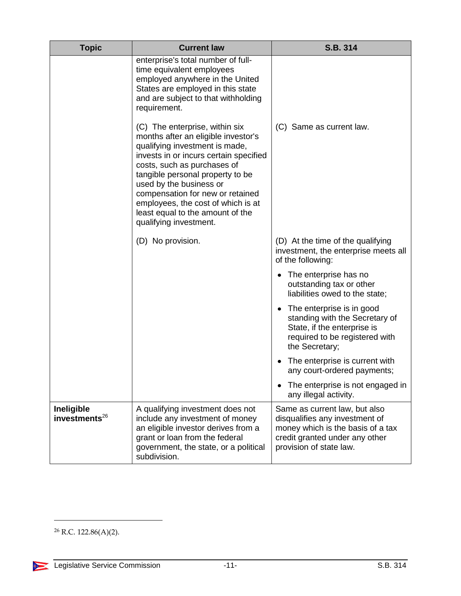| <b>Topic</b>                      | <b>Current law</b>                                                                                                                                                                                                                                                                                                                                                                      | S.B. 314                                                                                                                                                          |
|-----------------------------------|-----------------------------------------------------------------------------------------------------------------------------------------------------------------------------------------------------------------------------------------------------------------------------------------------------------------------------------------------------------------------------------------|-------------------------------------------------------------------------------------------------------------------------------------------------------------------|
|                                   | enterprise's total number of full-<br>time equivalent employees<br>employed anywhere in the United<br>States are employed in this state<br>and are subject to that withholding<br>requirement.                                                                                                                                                                                          |                                                                                                                                                                   |
|                                   | (C) The enterprise, within six<br>months after an eligible investor's<br>qualifying investment is made,<br>invests in or incurs certain specified<br>costs, such as purchases of<br>tangible personal property to be<br>used by the business or<br>compensation for new or retained<br>employees, the cost of which is at<br>least equal to the amount of the<br>qualifying investment. | (C) Same as current law.                                                                                                                                          |
|                                   | (D) No provision.                                                                                                                                                                                                                                                                                                                                                                       | (D) At the time of the qualifying<br>investment, the enterprise meets all<br>of the following:                                                                    |
|                                   |                                                                                                                                                                                                                                                                                                                                                                                         | The enterprise has no<br>٠<br>outstanding tax or other<br>liabilities owed to the state;                                                                          |
|                                   |                                                                                                                                                                                                                                                                                                                                                                                         | The enterprise is in good<br>$\bullet$<br>standing with the Secretary of<br>State, if the enterprise is<br>required to be registered with<br>the Secretary;       |
|                                   |                                                                                                                                                                                                                                                                                                                                                                                         | The enterprise is current with<br>any court-ordered payments;                                                                                                     |
|                                   |                                                                                                                                                                                                                                                                                                                                                                                         | The enterprise is not engaged in<br>any illegal activity.                                                                                                         |
| Ineligible<br>investments $^{26}$ | A qualifying investment does not<br>include any investment of money<br>an eligible investor derives from a<br>grant or loan from the federal<br>government, the state, or a political<br>subdivision.                                                                                                                                                                                   | Same as current law, but also<br>disqualifies any investment of<br>money which is the basis of a tax<br>credit granted under any other<br>provision of state law. |

 $26$  R.C. 122.86(A)(2).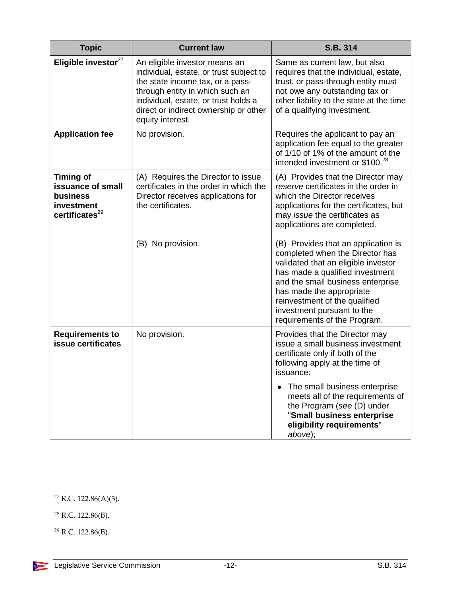| <b>Topic</b>                                                                                  | <b>Current law</b>                                                                                                                                                                                                                                   | S.B. 314                                                                                                                                                                                                                                                                                                         |
|-----------------------------------------------------------------------------------------------|------------------------------------------------------------------------------------------------------------------------------------------------------------------------------------------------------------------------------------------------------|------------------------------------------------------------------------------------------------------------------------------------------------------------------------------------------------------------------------------------------------------------------------------------------------------------------|
| Eligible investor <sup>27</sup>                                                               | An eligible investor means an<br>individual, estate, or trust subject to<br>the state income tax, or a pass-<br>through entity in which such an<br>individual, estate, or trust holds a<br>direct or indirect ownership or other<br>equity interest. | Same as current law, but also<br>requires that the individual, estate,<br>trust, or pass-through entity must<br>not owe any outstanding tax or<br>other liability to the state at the time<br>of a qualifying investment.                                                                                        |
| <b>Application fee</b>                                                                        | No provision.                                                                                                                                                                                                                                        | Requires the applicant to pay an<br>application fee equal to the greater<br>of 1/10 of 1% of the amount of the<br>intended investment or \$100. <sup>28</sup>                                                                                                                                                    |
| <b>Timing of</b><br>issuance of small<br>business<br>investment<br>certificates <sup>29</sup> | (A) Requires the Director to issue<br>certificates in the order in which the<br>Director receives applications for<br>the certificates.                                                                                                              | (A) Provides that the Director may<br>reserve certificates in the order in<br>which the Director receives<br>applications for the certificates, but<br>may issue the certificates as<br>applications are completed.                                                                                              |
|                                                                                               | (B) No provision.                                                                                                                                                                                                                                    | (B) Provides that an application is<br>completed when the Director has<br>validated that an eligible investor<br>has made a qualified investment<br>and the small business enterprise<br>has made the appropriate<br>reinvestment of the qualified<br>investment pursuant to the<br>requirements of the Program. |
| <b>Requirements to</b><br>issue certificates                                                  | No provision.                                                                                                                                                                                                                                        | Provides that the Director may<br>issue a small business investment<br>certificate only if both of the<br>following apply at the time of<br>issuance:                                                                                                                                                            |
|                                                                                               |                                                                                                                                                                                                                                                      | The small business enterprise<br>$\bullet$<br>meets all of the requirements of<br>the Program (see (D) under<br>"Small business enterprise<br>eligibility requirements"<br>above);                                                                                                                               |

 $^{27}$  R.C. 122.86(A)(3).

<sup>28</sup> R.C. 122.86(B).

 $\overline{a}$ 

<sup>29</sup> R.C. 122.86(B).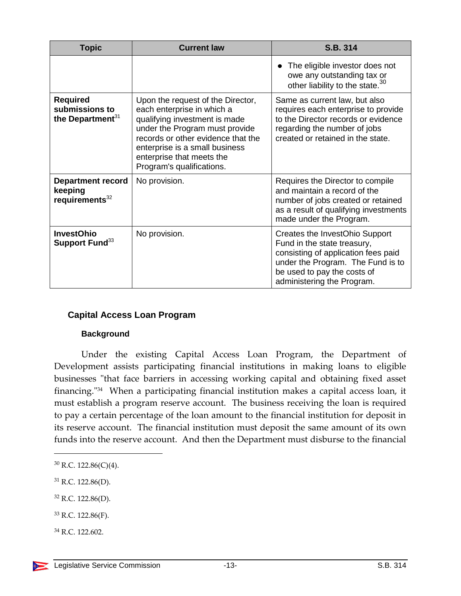| <b>Topic</b>                                                      | <b>Current law</b>                                                                                                                                                                                                                                                   | S.B. 314                                                                                                                                                                                               |
|-------------------------------------------------------------------|----------------------------------------------------------------------------------------------------------------------------------------------------------------------------------------------------------------------------------------------------------------------|--------------------------------------------------------------------------------------------------------------------------------------------------------------------------------------------------------|
|                                                                   |                                                                                                                                                                                                                                                                      | The eligible investor does not<br>owe any outstanding tax or<br>other liability to the state. <sup>30</sup>                                                                                            |
| <b>Required</b><br>submissions to<br>the Department <sup>31</sup> | Upon the request of the Director,<br>each enterprise in which a<br>qualifying investment is made<br>under the Program must provide<br>records or other evidence that the<br>enterprise is a small business<br>enterprise that meets the<br>Program's qualifications. | Same as current law, but also<br>requires each enterprise to provide<br>to the Director records or evidence<br>regarding the number of jobs<br>created or retained in the state.                       |
| <b>Department record</b><br>keeping<br>requirements <sup>32</sup> | No provision.                                                                                                                                                                                                                                                        | Requires the Director to compile<br>and maintain a record of the<br>number of jobs created or retained<br>as a result of qualifying investments<br>made under the Program.                             |
| <b>InvestOhio</b><br>Support Fund <sup>33</sup>                   | No provision.                                                                                                                                                                                                                                                        | Creates the InvestOhio Support<br>Fund in the state treasury,<br>consisting of application fees paid<br>under the Program. The Fund is to<br>be used to pay the costs of<br>administering the Program. |

## <span id="page-12-0"></span>**Capital Access Loan Program**

#### **Background**

<span id="page-12-1"></span>Under the existing Capital Access Loan Program, the Department of Development assists participating financial institutions in making loans to eligible businesses "that face barriers in accessing working capital and obtaining fixed asset financing."<sup>34</sup> When a participating financial institution makes a capital access loan, it must establish a program reserve account. The business receiving the loan is required to pay a certain percentage of the loan amount to the financial institution for deposit in its reserve account. The financial institution must deposit the same amount of its own funds into the reserve account. And then the Department must disburse to the financial

- <sup>32</sup> R.C. 122.86(D).
- $33$  R.C. 122.86(F).
- <sup>34</sup> R.C. 122.602.

<sup>30</sup> R.C. 122.86(C)(4).

 $31$  R.C. 122.86(D).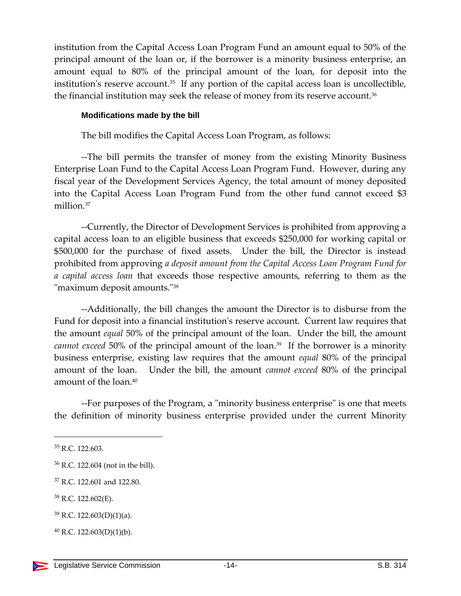institution from the Capital Access Loan Program Fund an amount equal to 50% of the principal amount of the loan or, if the borrower is a minority business enterprise, an amount equal to 80% of the principal amount of the loan, for deposit into the institution's reserve account.<sup>35</sup> If any portion of the capital access loan is uncollectible, the financial institution may seek the release of money from its reserve account.<sup>36</sup>

#### <span id="page-13-0"></span>**Modifications made by the bill**

The bill modifies the Capital Access Loan Program, as follows:

--The bill permits the transfer of money from the existing Minority Business Enterprise Loan Fund to the Capital Access Loan Program Fund. However, during any fiscal year of the Development Services Agency, the total amount of money deposited into the Capital Access Loan Program Fund from the other fund cannot exceed \$3 million. 37

--Currently, the Director of Development Services is prohibited from approving a capital access loan to an eligible business that exceeds \$250,000 for working capital or \$500,000 for the purchase of fixed assets. Under the bill, the Director is instead prohibited from approving *a deposit amount from the Capital Access Loan Program Fund for a capital access loan* that exceeds those respective amounts, referring to them as the "maximum deposit amounts."<sup>38</sup>

--Additionally, the bill changes the amount the Director is to disburse from the Fund for deposit into a financial institution's reserve account. Current law requires that the amount *equal* 50% of the principal amount of the loan. Under the bill, the amount *cannot exceed* 50% of the principal amount of the loan.<sup>39</sup> If the borrower is a minority business enterprise, existing law requires that the amount *equal* 80% of the principal amount of the loan. Under the bill, the amount *cannot exceed* 80% of the principal amount of the loan.<sup>40</sup>

--For purposes of the Program, a "minority business enterprise" is one that meets the definition of minority business enterprise provided under the current Minority

<sup>35</sup> R.C. 122.603.

<sup>36</sup> R.C. 122.604 (not in the bill).

<sup>37</sup> R.C. 122.601 and 122.80.

<sup>38</sup> R.C. 122.602(E).

 $39$  R.C. 122.603(D)(1)(a).

 $^{40}$  R.C. 122.603(D)(1)(b).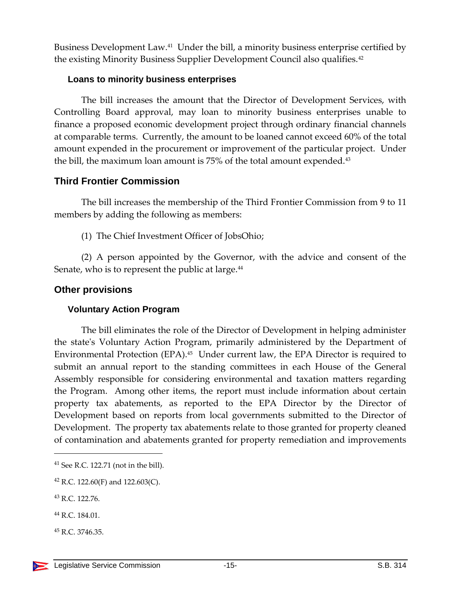Business Development Law.<sup>41</sup> Under the bill, a minority business enterprise certified by the existing Minority Business Supplier Development Council also qualifies.<sup>42</sup>

## <span id="page-14-0"></span>**Loans to minority business enterprises**

The bill increases the amount that the Director of Development Services, with Controlling Board approval, may loan to minority business enterprises unable to finance a proposed economic development project through ordinary financial channels at comparable terms. Currently, the amount to be loaned cannot exceed 60% of the total amount expended in the procurement or improvement of the particular project. Under the bill, the maximum loan amount is 75% of the total amount expended.<sup>43</sup>

## <span id="page-14-1"></span>**Third Frontier Commission**

The bill increases the membership of the Third Frontier Commission from 9 to 11 members by adding the following as members:

(1) The Chief Investment Officer of JobsOhio;

(2) A person appointed by the Governor, with the advice and consent of the Senate, who is to represent the public at large.<sup>44</sup>

## <span id="page-14-2"></span>**Other provisions**

## <span id="page-14-3"></span>**Voluntary Action Program**

The bill eliminates the role of the Director of Development in helping administer the state's Voluntary Action Program, primarily administered by the Department of Environmental Protection (EPA).<sup>45</sup> Under current law, the EPA Director is required to submit an annual report to the standing committees in each House of the General Assembly responsible for considering environmental and taxation matters regarding the Program. Among other items, the report must include information about certain property tax abatements, as reported to the EPA Director by the Director of Development based on reports from local governments submitted to the Director of Development. The property tax abatements relate to those granted for property cleaned of contamination and abatements granted for property remediation and improvements

 $\overline{a}$ 

<sup>45</sup> R.C. 3746.35.

<sup>41</sup> See R.C. 122.71 (not in the bill).

<sup>&</sup>lt;sup>42</sup> R.C. 122.60(F) and 122.603(C).

<sup>43</sup> R.C. 122.76.

<sup>44</sup> R.C. 184.01.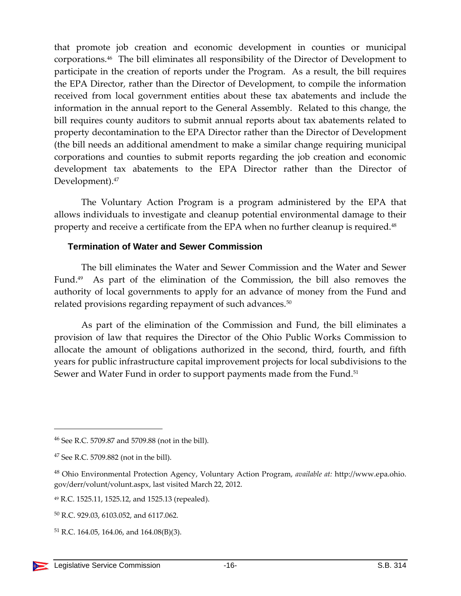that promote job creation and economic development in counties or municipal corporations.<sup>46</sup> The bill eliminates all responsibility of the Director of Development to participate in the creation of reports under the Program. As a result, the bill requires the EPA Director, rather than the Director of Development, to compile the information received from local government entities about these tax abatements and include the information in the annual report to the General Assembly. Related to this change, the bill requires county auditors to submit annual reports about tax abatements related to property decontamination to the EPA Director rather than the Director of Development (the bill needs an additional amendment to make a similar change requiring municipal corporations and counties to submit reports regarding the job creation and economic development tax abatements to the EPA Director rather than the Director of Development).<sup>47</sup>

The Voluntary Action Program is a program administered by the EPA that allows individuals to investigate and cleanup potential environmental damage to their property and receive a certificate from the EPA when no further cleanup is required.<sup>48</sup>

#### <span id="page-15-0"></span>**Termination of Water and Sewer Commission**

The bill eliminates the Water and Sewer Commission and the Water and Sewer Fund.<sup>49</sup> As part of the elimination of the Commission, the bill also removes the authority of local governments to apply for an advance of money from the Fund and related provisions regarding repayment of such advances.<sup>50</sup>

As part of the elimination of the Commission and Fund, the bill eliminates a provision of law that requires the Director of the Ohio Public Works Commission to allocate the amount of obligations authorized in the second, third, fourth, and fifth years for public infrastructure capital improvement projects for local subdivisions to the Sewer and Water Fund in order to support payments made from the Fund.<sup>51</sup>

<sup>46</sup> See R.C. 5709.87 and 5709.88 (not in the bill).

<sup>47</sup> See R.C. 5709.882 (not in the bill).

<sup>48</sup> Ohio Environmental Protection Agency, Voluntary Action Program, *available at:* http://www.epa.ohio. gov/derr/volunt/volunt.aspx, last visited March 22, 2012.

<sup>49</sup> R.C. 1525.11, 1525.12, and 1525.13 (repealed).

<sup>50</sup> R.C. 929.03, 6103.052, and 6117.062.

<sup>51</sup> R.C. 164.05, 164.06, and 164.08(B)(3).